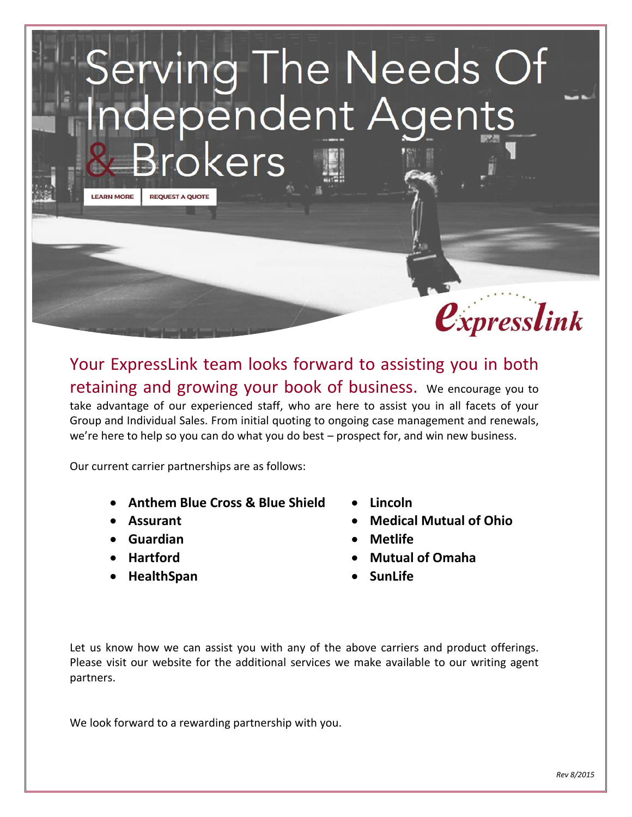# erving The Needs Of<br>dependent Agents<br>Brokers **LEARN MORE REQUEST A QUOTE**



Your ExpressLink team looks forward to assisting you in both retaining and growing your book of business. We encourage you to take advantage of our experienced staff, who are here to assist you in all facets of your Group and Individual Sales. From initial quoting to ongoing case management and renewals, we're here to help so you can do what you do best – prospect for, and win new business.

Our current carrier partnerships are as follows:

- **Anthem Blue Cross & Blue Shield**
- **Assurant**
- **Guardian**
- **Hartford**
- **HealthSpan**
- **Lincoln**
- **Medical Mutual of Ohio**
- **Metlife**
- **Mutual of Omaha**
- **SunLife**

Let us know how we can assist you with any of the above carriers and product offerings. Please visit our website for the additional services we make available to our writing agent partners.

We look forward to a rewarding partnership with you.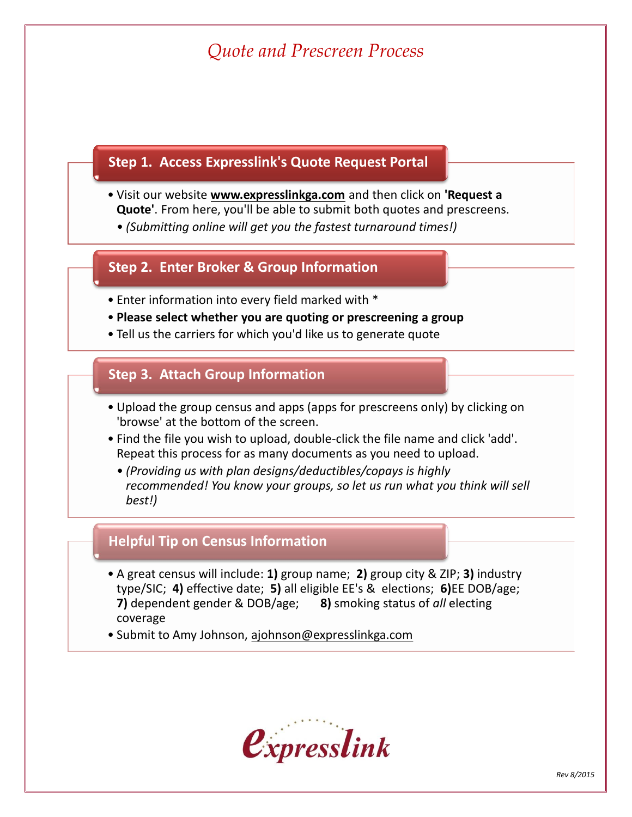### *Quote and Prescreen Process*

#### **Step 1. Access Expresslink's Quote Request Portal**

- Visit our website **www.expresslinkga.com** and then click on **'Request a Quote'**. From here, you'll be able to submit both quotes and prescreens.
	- *(Submitting online will get you the fastest turnaround times!)*

#### **Step 2. Enter Broker & Group Information**

- Enter information into every field marked with \*
- **Please select whether you are quoting or prescreening a group**
- Tell us the carriers for which you'd like us to generate quote

#### **Step 3. Attach Group Information**

- Upload the group census and apps (apps for prescreens only) by clicking on 'browse' at the bottom of the screen.
- Find the file you wish to upload, double-click the file name and click 'add'. Repeat this process for as many documents as you need to upload.
	- *(Providing us with plan designs/deductibles/copays is highly recommended! You know your groups, so let us run what you think will sell best!)*

#### **Helpful Tip on Census Information**

- A great census will include: **1)** group name; **2)** group city & ZIP; **3)** industry type/SIC; **4)** effective date; **5)** all eligible EE's & elections; **6)**EE DOB/age; **7)** dependent gender & DOB/age; **8)** smoking status of *all* electing coverage
- Submit to Amy Johnson, ajohnson@expresslinkga.com